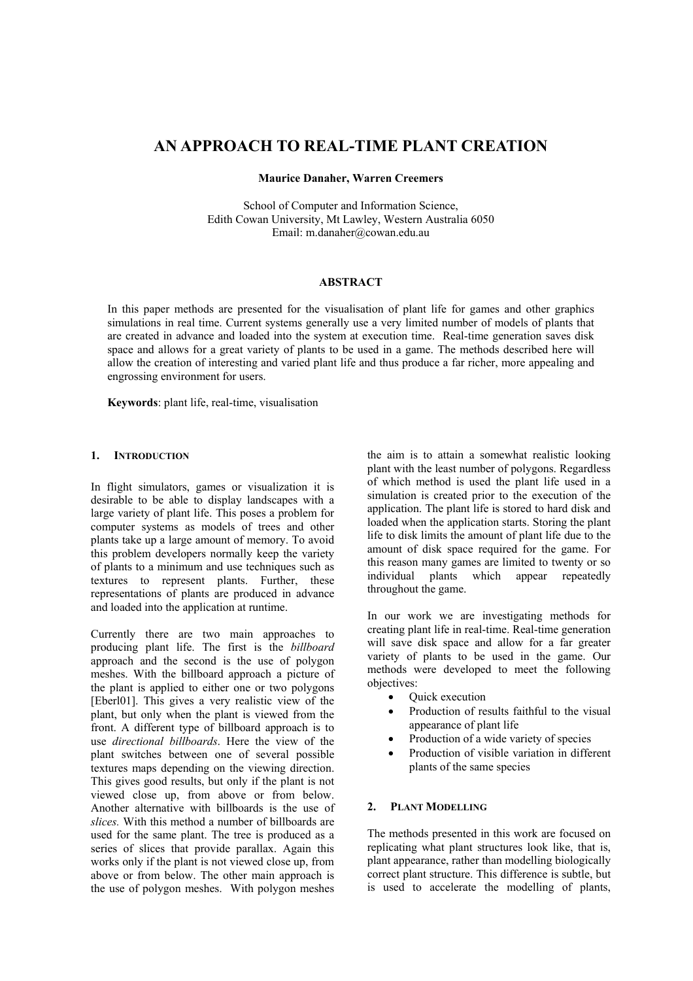# **AN APPROACH TO REAL-TIME PLANT CREATION**

# **Maurice Danaher, Warren Creemers**

School of Computer and Information Science, Edith Cowan University, Mt Lawley, Western Australia 6050 Email: [m.danaher@cowan.edu.au](mailto:m.danaher@cowan.edu.au)

# **ABSTRACT**

In this paper methods are presented for the visualisation of plant life for games and other graphics simulations in real time. Current systems generally use a very limited number of models of plants that are created in advance and loaded into the system at execution time. Real-time generation saves disk space and allows for a great variety of plants to be used in a game. The methods described here will allow the creation of interesting and varied plant life and thus produce a far richer, more appealing and engrossing environment for users.

**Keywords**: plant life, real-time, visualisation

# **1. INTRODUCTION**

In flight simulators, games or visualization it is desirable to be able to display landscapes with a large variety of plant life. This poses a problem for computer systems as models of trees and other plants take up a large amount of memory. To avoid this problem developers normally keep the variety of plants to a minimum and use techniques such as textures to represent plants. Further, these representations of plants are produced in advance and loaded into the application at runtime.

Currently there are two main approaches to producing plant life. The first is the *billboard*  approach and the second is the use of polygon meshes. With the billboard approach a picture of the plant is applied to either one or two polygons [Eberl01]. This gives a very realistic view of the plant, but only when the plant is viewed from the front. A different type of billboard approach is to use *directional billboards*. Here the view of the plant switches between one of several possible textures maps depending on the viewing direction. This gives good results, but only if the plant is not viewed close up, from above or from below. Another alternative with billboards is the use of *slices.* With this method a number of billboards are used for the same plant. The tree is produced as a series of slices that provide parallax. Again this works only if the plant is not viewed close up, from above or from below. The other main approach is the use of polygon meshes. With polygon meshes

the aim is to attain a somewhat realistic looking plant with the least number of polygons. Regardless of which method is used the plant life used in a simulation is created prior to the execution of the application. The plant life is stored to hard disk and loaded when the application starts. Storing the plant life to disk limits the amount of plant life due to the amount of disk space required for the game. For this reason many games are limited to twenty or so individual plants which appear repeatedly throughout the game.

In our work we are investigating methods for creating plant life in real-time. Real-time generation will save disk space and allow for a far greater variety of plants to be used in the game. Our methods were developed to meet the following objectives:

- Quick execution
- Production of results faithful to the visual appearance of plant life
- Production of a wide variety of species
- Production of visible variation in different plants of the same species

# **2. PLANT MODELLING**

The methods presented in this work are focused on replicating what plant structures look like, that is, plant appearance, rather than modelling biologically correct plant structure. This difference is subtle, but is used to accelerate the modelling of plants,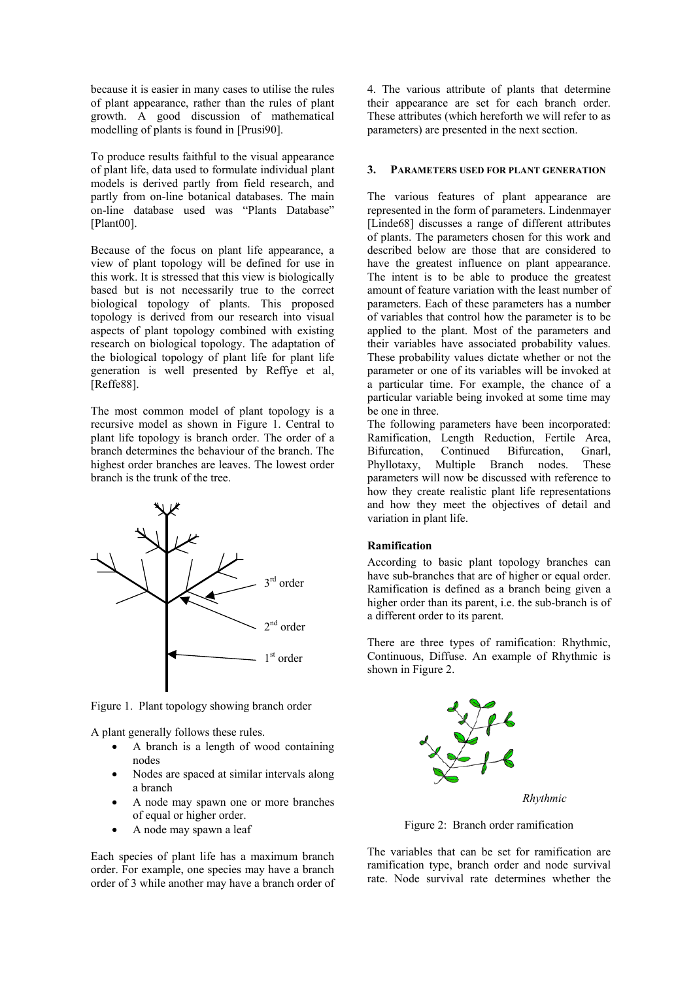because it is easier in many cases to utilise the rules of plant appearance, rather than the rules of plant growth. A good discussion of mathematical modelling of plants is found in [Prusi90].

To produce results faithful to the visual appearance of plant life, data used to formulate individual plant models is derived partly from field research, and partly from on-line botanical databases. The main on-line database used was "Plants Database" [Plant00].

Because of the focus on plant life appearance, a view of plant topology will be defined for use in this work. It is stressed that this view is biologically based but is not necessarily true to the correct biological topology of plants. This proposed topology is derived from our research into visual aspects of plant topology combined with existing research on biological topology. The adaptation of the biological topology of plant life for plant life generation is well presented by Reffye et al, [Reffe88].

The most common model of plant topology is a recursive model as shown in Figure 1. Central to plant life topology is branch order. The order of a branch determines the behaviour of the branch. The highest order branches are leaves. The lowest order branch is the trunk of the tree.



Figure 1. Plant topology showing branch order

A plant generally follows these rules.

- A branch is a length of wood containing nodes
- Nodes are spaced at similar intervals along a branch
- A node may spawn one or more branches of equal or higher order.
- A node may spawn a leaf

Each species of plant life has a maximum branch order. For example, one species may have a branch order of 3 while another may have a branch order of 4. The various attribute of plants that determine their appearance are set for each branch order. These attributes (which hereforth we will refer to as parameters) are presented in the next section.

# **3. PARAMETERS USED FOR PLANT GENERATION**

The various features of plant appearance are represented in the form of parameters. Lindenmayer [Linde68] discusses a range of different attributes of plants. The parameters chosen for this work and described below are those that are considered to have the greatest influence on plant appearance. The intent is to be able to produce the greatest amount of feature variation with the least number of parameters. Each of these parameters has a number of variables that control how the parameter is to be applied to the plant. Most of the parameters and their variables have associated probability values. These probability values dictate whether or not the parameter or one of its variables will be invoked at a particular time. For example, the chance of a particular variable being invoked at some time may be one in three.

The following parameters have been incorporated: Ramification, Length Reduction, Fertile Area, Bifurcation, Continued Bifurcation, Gnarl, Phyllotaxy, Multiple Branch nodes. These parameters will now be discussed with reference to how they create realistic plant life representations and how they meet the objectives of detail and variation in plant life.

# **Ramification**

According to basic plant topology branches can have sub-branches that are of higher or equal order. Ramification is defined as a branch being given a higher order than its parent, i.e. the sub-branch is of a different order to its parent.

There are three types of ramification: Rhythmic, Continuous, Diffuse. An example of Rhythmic is shown in Figure 2.



Figure 2: Branch order ramification

The variables that can be set for ramification are ramification type, branch order and node survival rate. Node survival rate determines whether the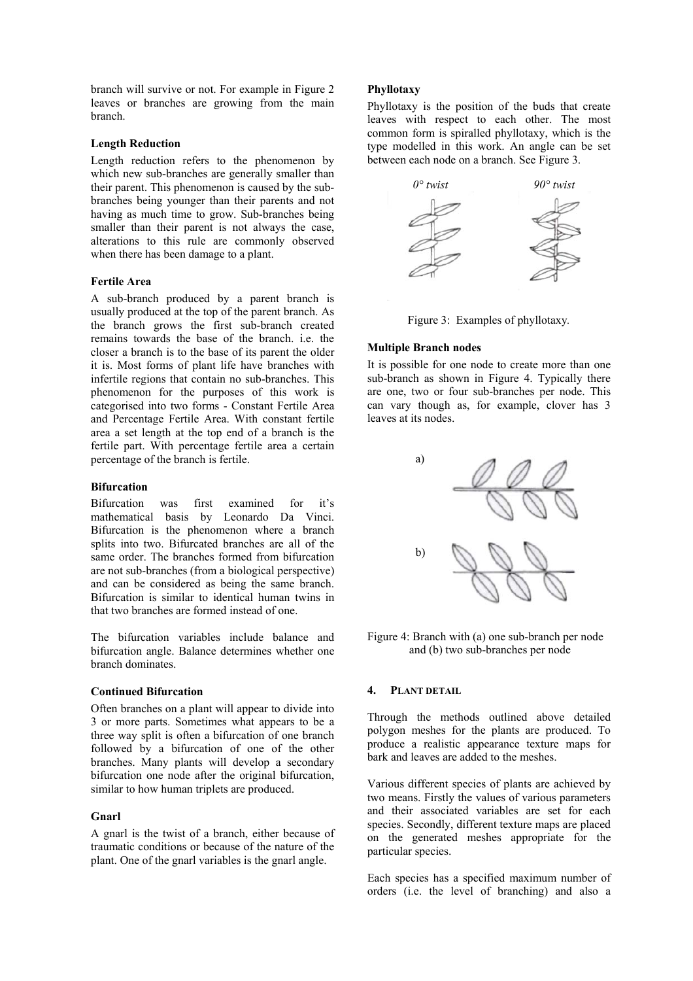branch will survive or not. For example in Figure 2 leaves or branches are growing from the main branch.

## **Length Reduction**

Length reduction refers to the phenomenon by which new sub-branches are generally smaller than their parent. This phenomenon is caused by the subbranches being younger than their parents and not having as much time to grow. Sub-branches being smaller than their parent is not always the case, alterations to this rule are commonly observed when there has been damage to a plant.

### **Fertile Area**

A sub-branch produced by a parent branch is usually produced at the top of the parent branch. As the branch grows the first sub-branch created remains towards the base of the branch. i.e. the closer a branch is to the base of its parent the older it is. Most forms of plant life have branches with infertile regions that contain no sub-branches. This phenomenon for the purposes of this work is categorised into two forms - Constant Fertile Area and Percentage Fertile Area. With constant fertile area a set length at the top end of a branch is the fertile part. With percentage fertile area a certain percentage of the branch is fertile.

#### **Bifurcation**

Bifurcation was first examined for it's mathematical basis by Leonardo Da Vinci. Bifurcation is the phenomenon where a branch splits into two. Bifurcated branches are all of the same order. The branches formed from bifurcation are not sub-branches (from a biological perspective) and can be considered as being the same branch. Bifurcation is similar to identical human twins in that two branches are formed instead of one.

The bifurcation variables include balance and bifurcation angle. Balance determines whether one branch dominates.

## **Continued Bifurcation**

Often branches on a plant will appear to divide into 3 or more parts. Sometimes what appears to be a three way split is often a bifurcation of one branch followed by a bifurcation of one of the other branches. Many plants will develop a secondary bifurcation one node after the original bifurcation, similar to how human triplets are produced.

#### **Gnarl**

A gnarl is the twist of a branch, either because of traumatic conditions or because of the nature of the plant. One of the gnarl variables is the gnarl angle.

#### **Phyllotaxy**

Phyllotaxy is the position of the buds that create leaves with respect to each other. The most common form is spiralled phyllotaxy, which is the type modelled in this work. An angle can be set between each node on a branch. See Figure 3.



Figure 3: Examples of phyllotaxy*.* 

#### **Multiple Branch nodes**

It is possible for one node to create more than one sub-branch as shown in Figure 4. Typically there are one, two or four sub-branches per node. This can vary though as, for example, clover has 3 leaves at its nodes.



Figure 4: Branch with (a) one sub-branch per node and (b) two sub-branches per node

#### **4. PLANT DETAIL**

Through the methods outlined above detailed polygon meshes for the plants are produced. To produce a realistic appearance texture maps for bark and leaves are added to the meshes.

Various different species of plants are achieved by two means. Firstly the values of various parameters and their associated variables are set for each species. Secondly, different texture maps are placed on the generated meshes appropriate for the particular species.

Each species has a specified maximum number of orders (i.e. the level of branching) and also a